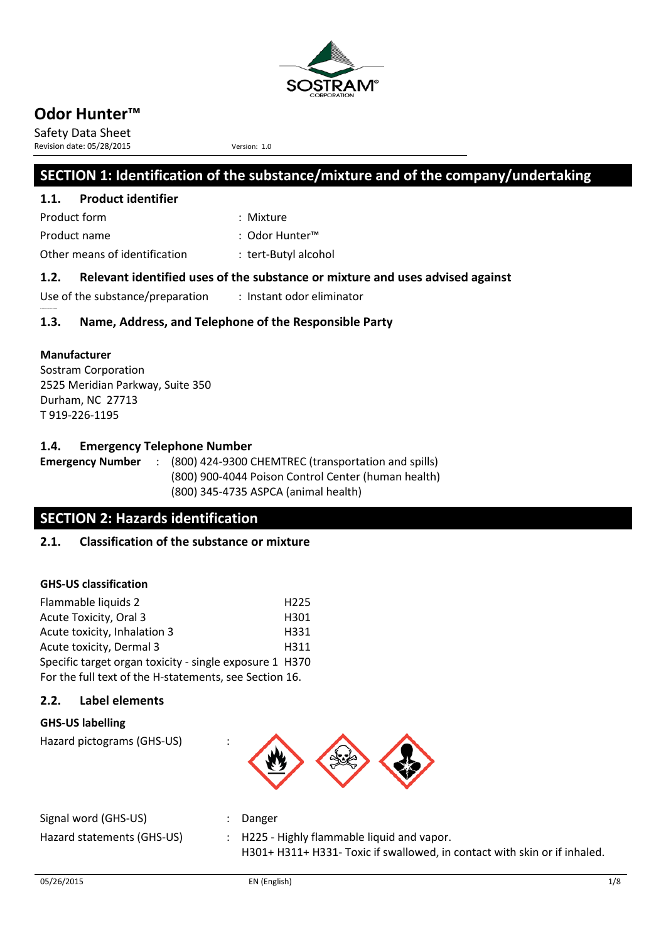

Safety Data Sheet Revision date: 05/28/2015 Version: 1.0

## **SECTION 1: Identification of the substance/mixture and of the company/undertaking**

### **1.1. Product identifier**

Product form : Mixture : Mixture Product name : Odor Hunter™

Other means of identification : tert-Butyl alcohol

### **1.2. Relevant identified uses of the substance or mixture and uses advised against**

Use of the substance/preparation : Instant odor eliminator

### **1.3. Name, Address, and Telephone of the Responsible Party**

### **Manufacturer**

No additi onal infor mati on available

Sostram Corporation 2525 Meridian Parkway, Suite 350 Durham, NC 27713 T 919-226-1195

### **1.4. Emergency Telephone Number**

**Emergency Number** : (800) 424-9300 CHEMTREC (transportation and spills) (800) 900-4044 Poison Control Center (human health) (800) 345-4735 ASPCA (animal health)

## **SECTION 2: Hazards identification**

### **2.1. Classification of the substance or mixture**

### **GHS-US classification**

| Flammable liquids 2                                     | H <sub>225</sub> |
|---------------------------------------------------------|------------------|
| Acute Toxicity, Oral 3                                  | H301             |
| Acute toxicity, Inhalation 3                            | H331             |
| Acute toxicity, Dermal 3                                | H311             |
| Specific target organ toxicity - single exposure 1 H370 |                  |
| For the full text of the H-statements, see Section 16.  |                  |

### **2.2. Label elements**

### **GHS-US labelling**

Hazard pictograms (GHS-US) :



| Signal word (GHS-US)       | Danger                                                                    |
|----------------------------|---------------------------------------------------------------------------|
| Hazard statements (GHS-US) | : H225 - Highly flammable liquid and vapor.                               |
|                            | H301+ H311+ H331- Toxic if swallowed, in contact with skin or if inhaled. |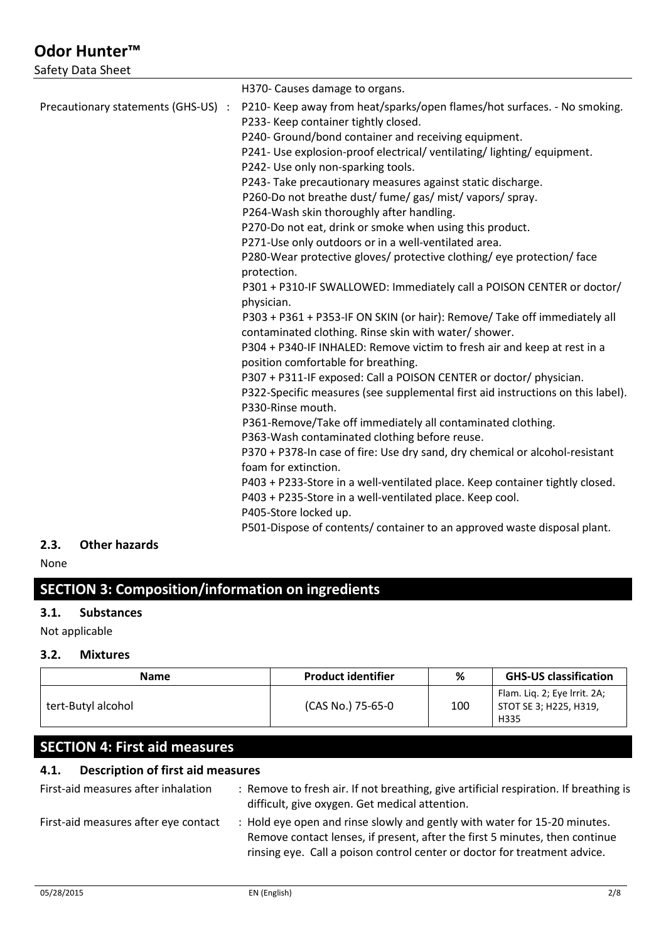Safety Data Sheet

|                                     | H370- Causes damage to organs.                                                        |
|-------------------------------------|---------------------------------------------------------------------------------------|
| Precautionary statements (GHS-US) : | P210- Keep away from heat/sparks/open flames/hot surfaces. - No smoking.              |
|                                     | P233- Keep container tightly closed.                                                  |
|                                     | P240- Ground/bond container and receiving equipment.                                  |
|                                     | P241- Use explosion-proof electrical/ventilating/lighting/equipment.                  |
|                                     | P242- Use only non-sparking tools.                                                    |
|                                     | P243-Take precautionary measures against static discharge.                            |
|                                     | P260-Do not breathe dust/ fume/ gas/ mist/ vapors/ spray.                             |
|                                     | P264-Wash skin thoroughly after handling.                                             |
|                                     | P270-Do not eat, drink or smoke when using this product.                              |
|                                     | P271-Use only outdoors or in a well-ventilated area.                                  |
|                                     | P280-Wear protective gloves/ protective clothing/ eye protection/ face<br>protection. |
|                                     | P301 + P310-IF SWALLOWED: Immediately call a POISON CENTER or doctor/                 |
|                                     | physician.                                                                            |
|                                     | P303 + P361 + P353-IF ON SKIN (or hair): Remove/ Take off immediately all             |
|                                     | contaminated clothing. Rinse skin with water/ shower.                                 |
|                                     | P304 + P340-IF INHALED: Remove victim to fresh air and keep at rest in a              |
|                                     | position comfortable for breathing.                                                   |
|                                     | P307 + P311-IF exposed: Call a POISON CENTER or doctor/ physician.                    |
|                                     | P322-Specific measures (see supplemental first aid instructions on this label).       |
|                                     | P330-Rinse mouth.                                                                     |
|                                     | P361-Remove/Take off immediately all contaminated clothing.                           |
|                                     | P363-Wash contaminated clothing before reuse.                                         |
|                                     | P370 + P378-In case of fire: Use dry sand, dry chemical or alcohol-resistant          |
|                                     | foam for extinction.                                                                  |
|                                     | P403 + P233-Store in a well-ventilated place. Keep container tightly closed.          |
|                                     | P403 + P235-Store in a well-ventilated place. Keep cool.                              |
|                                     | P405-Store locked up.                                                                 |
|                                     | P501-Dispose of contents/ container to an approved waste disposal plant.              |
| Other hereads<br>י י                |                                                                                       |

## **2.3. Other hazards**

None

# **SECTION 3: Composition/information on ingredients**

### **3.1. Substances**

Not applicable

### **3.2. Mixtures**

| <b>Name</b>        | <b>Product identifier</b> | %   | <b>GHS-US classification</b>                                     |
|--------------------|---------------------------|-----|------------------------------------------------------------------|
| tert-Butyl alcohol | (CAS No.) 75-65-0         | 100 | Flam. Lig. 2; Eye Irrit. 2A;<br>  STOT SE 3; H225, H319,<br>H335 |

## **SECTION 4: First aid measures**

## **4.1. Description of first aid measures**

| First-aid measures after inhalation  | : Remove to fresh air. If not breathing, give artificial respiration. If breathing is<br>difficult, give oxygen. Get medical attention.                                                                                               |
|--------------------------------------|---------------------------------------------------------------------------------------------------------------------------------------------------------------------------------------------------------------------------------------|
| First-aid measures after eye contact | : Hold eye open and rinse slowly and gently with water for 15-20 minutes.<br>Remove contact lenses, if present, after the first 5 minutes, then continue<br>rinsing eye. Call a poison control center or doctor for treatment advice. |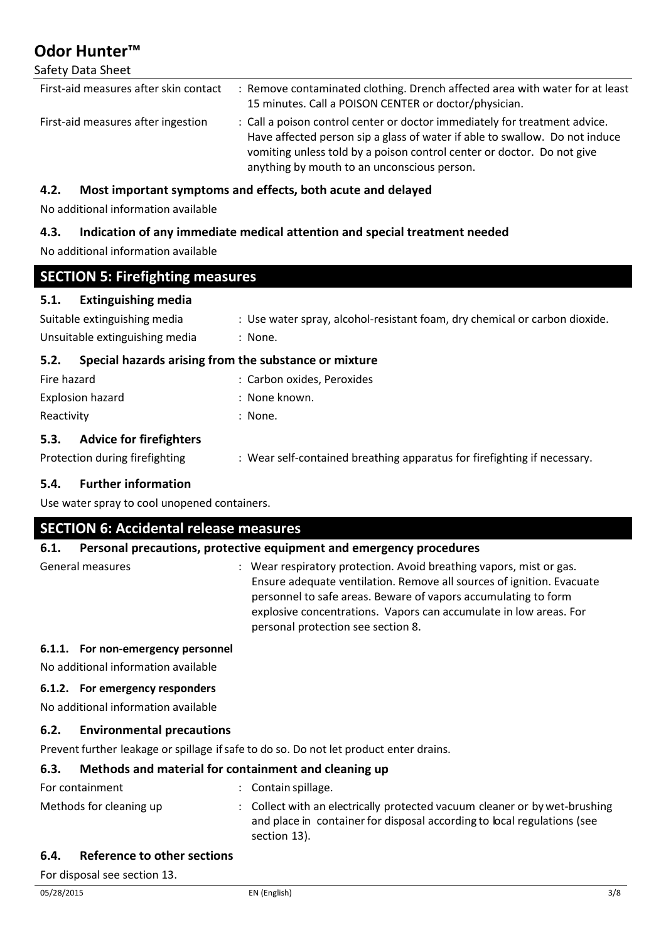### Safety Data Sheet

| First-aid measures after skin contact | : Remove contaminated clothing. Drench affected area with water for at least<br>15 minutes. Call a POISON CENTER or doctor/physician.                                                                                                                                              |
|---------------------------------------|------------------------------------------------------------------------------------------------------------------------------------------------------------------------------------------------------------------------------------------------------------------------------------|
| First-aid measures after ingestion    | : Call a poison control center or doctor immediately for treatment advice.<br>Have affected person sip a glass of water if able to swallow. Do not induce<br>vomiting unless told by a poison control center or doctor. Do not give<br>anything by mouth to an unconscious person. |

## **4.2. Most important symptoms and effects, both acute and delayed**

No additional information available

## **4.3. Indication of any immediate medical attention and special treatment needed**

No additional information available

| <b>SECTION 5: Firefighting measures</b>                       |                                                                            |  |
|---------------------------------------------------------------|----------------------------------------------------------------------------|--|
| <b>Extinguishing media</b><br>5.1.                            |                                                                            |  |
| Suitable extinguishing media                                  | : Use water spray, alcohol-resistant foam, dry chemical or carbon dioxide. |  |
| Unsuitable extinguishing media                                | : None.                                                                    |  |
| Special hazards arising from the substance or mixture<br>5.2. |                                                                            |  |
| Fire hazard                                                   | : Carbon oxides, Peroxides                                                 |  |

| 111 C 110 LUI U  | . Carbon Oxides, I Croxides |
|------------------|-----------------------------|
| Explosion hazard | : None known.               |
| Reactivity       | : None.                     |
|                  |                             |

### **5.3. Advice for firefighters**

Protection during firefighting : Wear self-contained breathing apparatus for firefighting if necessary.

### **5.4. Further information**

Use water spray to cool unopened containers.

### **SECTION 6: Accidental release measures**

### **6.1. Personal precautions, protective equipment and emergency procedures**

General measures **in the sum of the sum of the Sear** respiratory protection. Avoid breathing vapors, mist or gas. Ensure adequate ventilation. Remove all sources of ignition. Evacuate personnel to safe areas. Beware of vapors accumulating to form explosive concentrations. Vapors can accumulate in low areas. For personal protection see section 8.

#### **6.1.1. For non-emergency personnel**

No additional information available

#### **6.1.2. For emergency responders**

No additional information available

#### **6.2. Environmental precautions**

Prevent further leakage or spillage if safe to do so. Do not let product enter drains.

### **6.3. Methods and material for containment and cleaning up**

| For containment         | $\therefore$ Contain spillage.                                                                                                                                        |
|-------------------------|-----------------------------------------------------------------------------------------------------------------------------------------------------------------------|
| Methods for cleaning up | : Collect with an electrically protected vacuum cleaner or by wet-brushing<br>and place in container for disposal according to local regulations (see<br>section 13). |

#### **6.4. Reference to other sections**

For disposal see section 13.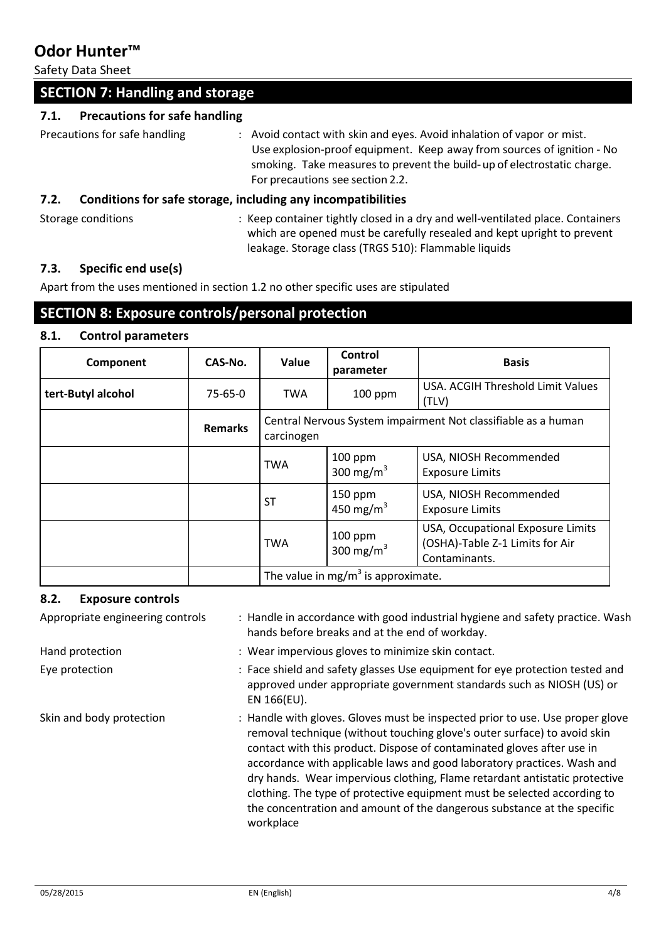Safety Data Sheet

| <b>SECTION 7: Handling and storage</b>       |                                                                                                                                                                                                                                                                 |
|----------------------------------------------|-----------------------------------------------------------------------------------------------------------------------------------------------------------------------------------------------------------------------------------------------------------------|
| <b>Precautions for safe handling</b><br>7.1. |                                                                                                                                                                                                                                                                 |
| Precautions for safe handling                | : Avoid contact with skin and eyes. Avoid inhalation of vapor or mist.<br>Use explosion-proof equipment. Keep away from sources of ignition - No<br>smoking. Take measures to prevent the build-up of electrostatic charge.<br>For precautions see section 2.2. |
| 7.2.                                         | Conditions for safe storage, including any incompatibilities                                                                                                                                                                                                    |
| Storage conditions                           | : Keep container tightly closed in a dry and well-ventilated place. Containers<br>which are opened must be carefully resealed and kept upright to prevent<br>leakage. Storage class (TRGS 510): Flammable liquids                                               |

### **7.3. Specific end use(s)**

Apart from the uses mentioned in section 1.2 no other specific uses are stipulated

## **SECTION 8: Exposure controls/personal protection**

#### **8.1. Control parameters**

| Component          | CAS-No.        | Value      | Control<br>parameter                           | <b>Basis</b>                                                                          |
|--------------------|----------------|------------|------------------------------------------------|---------------------------------------------------------------------------------------|
| tert-Butyl alcohol | 75-65-0        | <b>TWA</b> | 100 ppm                                        | USA. ACGIH Threshold Limit Values<br>(TLV)                                            |
|                    | <b>Remarks</b> | carcinogen |                                                | Central Nervous System impairment Not classifiable as a human                         |
|                    |                | <b>TWA</b> | $100$ ppm<br>300 mg/m $3$                      | USA, NIOSH Recommended<br><b>Exposure Limits</b>                                      |
|                    |                | <b>ST</b>  | 150 ppm<br>450 mg/m <sup>3</sup>               | USA, NIOSH Recommended<br><b>Exposure Limits</b>                                      |
|                    |                | <b>TWA</b> | $100$ ppm<br>300 mg/m $3$                      | USA, Occupational Exposure Limits<br>(OSHA)-Table Z-1 Limits for Air<br>Contaminants. |
|                    |                |            | The value in mg/m <sup>3</sup> is approximate. |                                                                                       |

### **8.2. Exposure controls**

| Appropriate engineering controls | : Handle in accordance with good industrial hygiene and safety practice. Wash<br>hands before breaks and at the end of workday.                                                                                                                                                                                                                                                                                                                                                                                                                                  |
|----------------------------------|------------------------------------------------------------------------------------------------------------------------------------------------------------------------------------------------------------------------------------------------------------------------------------------------------------------------------------------------------------------------------------------------------------------------------------------------------------------------------------------------------------------------------------------------------------------|
| Hand protection                  | : Wear impervious gloves to minimize skin contact.                                                                                                                                                                                                                                                                                                                                                                                                                                                                                                               |
| Eye protection                   | : Face shield and safety glasses Use equipment for eye protection tested and<br>approved under appropriate government standards such as NIOSH (US) or<br>EN 166(EU).                                                                                                                                                                                                                                                                                                                                                                                             |
| Skin and body protection         | : Handle with gloves. Gloves must be inspected prior to use. Use proper glove<br>removal technique (without touching glove's outer surface) to avoid skin<br>contact with this product. Dispose of contaminated gloves after use in<br>accordance with applicable laws and good laboratory practices. Wash and<br>dry hands. Wear impervious clothing, Flame retardant antistatic protective<br>clothing. The type of protective equipment must be selected according to<br>the concentration and amount of the dangerous substance at the specific<br>workplace |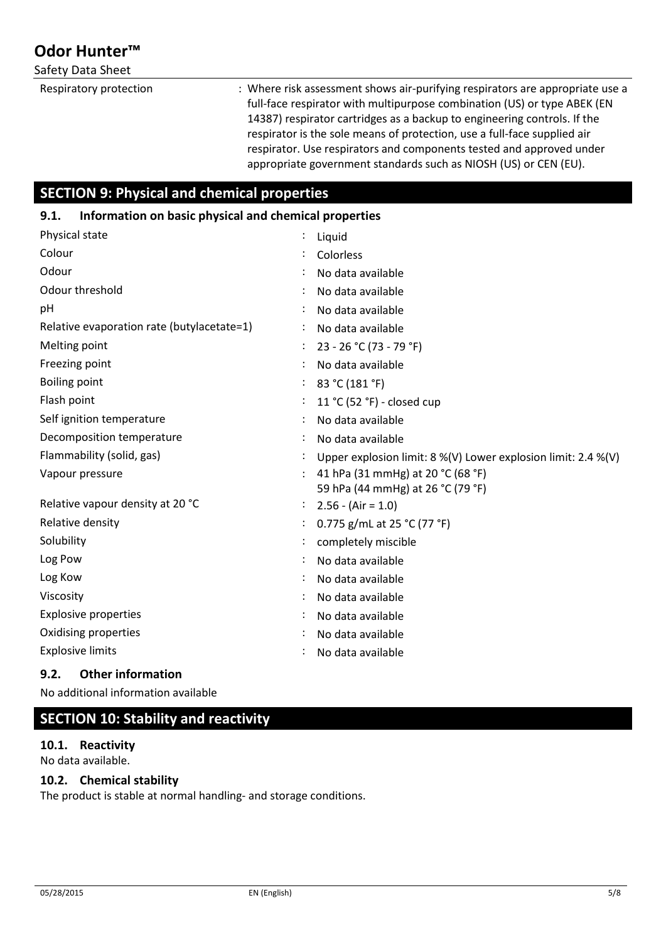### Safety Data Sheet

Respiratory protection : Where risk assessment shows air-purifying respirators are appropriate use a full-face respirator with multipurpose combination (US) or type ABEK (EN 14387) respirator cartridges as a backup to engineering controls. If the respirator is the sole means of protection, use a full-face supplied air respirator. Use respirators and components tested and approved under appropriate government standards such as NIOSH (US) or CEN (EU).

## **SECTION 9: Physical and chemical properties**

### **9.1. Information on basic physical and chemical properties**

| Physical state                             | Liquid                                                                 |
|--------------------------------------------|------------------------------------------------------------------------|
| Colour                                     | Colorless                                                              |
| Odour                                      | No data available                                                      |
| Odour threshold                            | No data available                                                      |
| pH                                         | No data available                                                      |
| Relative evaporation rate (butylacetate=1) | No data available                                                      |
| Melting point                              | 23 - 26 °C (73 - 79 °F)                                                |
| Freezing point                             | No data available                                                      |
| <b>Boiling point</b>                       | 83 °C (181 °F)                                                         |
| Flash point                                | 11 °C (52 °F) - closed cup                                             |
| Self ignition temperature                  | No data available                                                      |
| Decomposition temperature                  | No data available                                                      |
| Flammability (solid, gas)                  | Upper explosion limit: $8\%$ (V) Lower explosion limit: 2.4 % (V)      |
| Vapour pressure                            | 41 hPa (31 mmHg) at 20 °C (68 °F)<br>59 hPa (44 mmHg) at 26 °C (79 °F) |
| Relative vapour density at 20 °C           | $2.56 - (Air = 1.0)$                                                   |
| Relative density                           | 0.775 g/mL at 25 °C (77 °F)                                            |
| Solubility                                 | completely miscible                                                    |
| Log Pow                                    | No data available                                                      |
| Log Kow                                    | No data available                                                      |
| Viscosity                                  | No data available                                                      |
| <b>Explosive properties</b>                | No data available                                                      |
| Oxidising properties                       | No data available                                                      |
| <b>Explosive limits</b>                    | No data available                                                      |

### **9.2. Other information**

No additional information available

## **SECTION 10: Stability and reactivity**

**10.1. Reactivity** No data available.

### **10.2. Chemical stability**

The product is stable at normal handling- and storage conditions.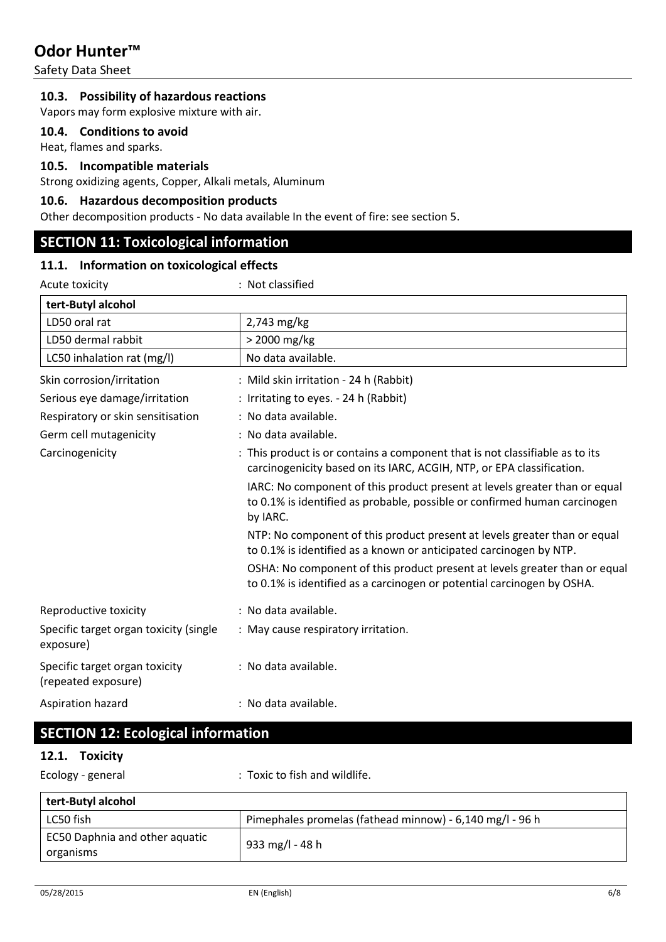Safety Data Sheet

#### **10.3. Possibility of hazardous reactions**

Vapors may form explosive mixture with air.

### **10.4. Conditions to avoid**

Heat, flames and sparks.

#### **10.5. Incompatible materials**

Strong oxidizing agents, Copper, Alkali metals, Aluminum

#### **10.6. Hazardous decomposition products**

Other decomposition products - No data available In the event of fire: see section 5.

### **SECTION 11: Toxicological information**

### **11.1. Information on toxicological effects**

| Acute toxicity                                        | : Not classified                                                                                                                                                    |
|-------------------------------------------------------|---------------------------------------------------------------------------------------------------------------------------------------------------------------------|
| tert-Butyl alcohol                                    |                                                                                                                                                                     |
| LD50 oral rat                                         | 2,743 mg/kg                                                                                                                                                         |
| LD50 dermal rabbit                                    | > 2000 mg/kg                                                                                                                                                        |
| LC50 inhalation rat (mg/l)                            | No data available.                                                                                                                                                  |
| Skin corrosion/irritation                             | : Mild skin irritation - 24 h (Rabbit)                                                                                                                              |
| Serious eye damage/irritation                         | : Irritating to eyes. - 24 h (Rabbit)                                                                                                                               |
| Respiratory or skin sensitisation                     | : No data available.                                                                                                                                                |
| Germ cell mutagenicity                                | : No data available.                                                                                                                                                |
| Carcinogenicity                                       | : This product is or contains a component that is not classifiable as to its<br>carcinogenicity based on its IARC, ACGIH, NTP, or EPA classification.               |
|                                                       | IARC: No component of this product present at levels greater than or equal<br>to 0.1% is identified as probable, possible or confirmed human carcinogen<br>by IARC. |
|                                                       | NTP: No component of this product present at levels greater than or equal<br>to 0.1% is identified as a known or anticipated carcinogen by NTP.                     |
|                                                       | OSHA: No component of this product present at levels greater than or equal<br>to 0.1% is identified as a carcinogen or potential carcinogen by OSHA.                |
| Reproductive toxicity                                 | : No data available.                                                                                                                                                |
| Specific target organ toxicity (single<br>exposure)   | : May cause respiratory irritation.                                                                                                                                 |
| Specific target organ toxicity<br>(repeated exposure) | : No data available.                                                                                                                                                |
| Aspiration hazard                                     | : No data available.                                                                                                                                                |

## **SECTION 12: Ecological information**

#### **12.1. Toxicity**

Ecology - general **Ecology** - general  $\cdot$  Toxic to fish and wildlife.

| tert-Butyl alcohol                          |                                                          |
|---------------------------------------------|----------------------------------------------------------|
| LC50 fish                                   | Pimephales promelas (fathead minnow) - 6,140 mg/l - 96 h |
| EC50 Daphnia and other aquatic<br>organisms | 933 mg/l - 48 h                                          |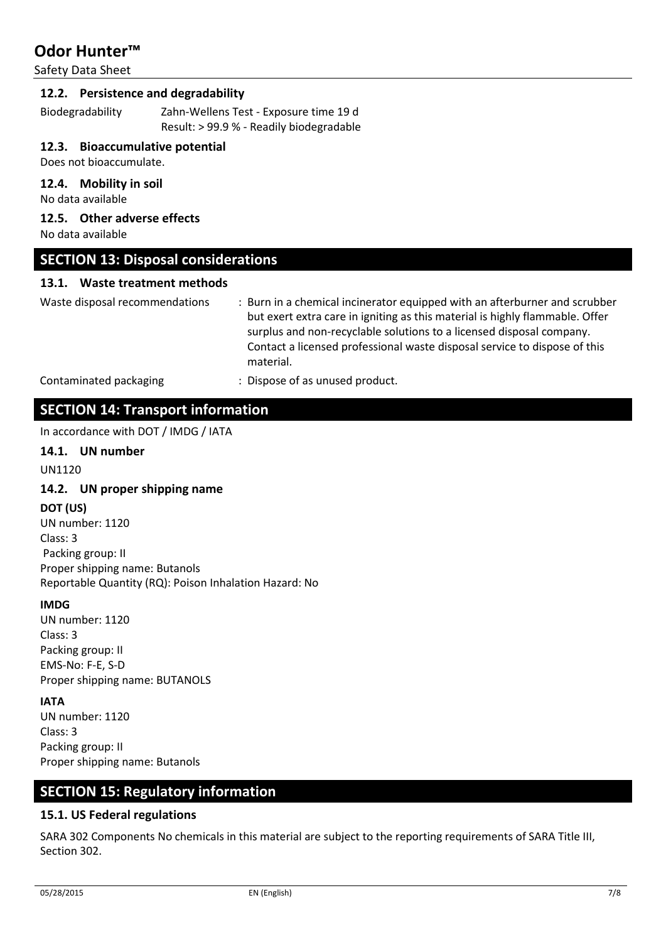Safety Data Sheet

#### **12.2. Persistence and degradability**

Biodegradability Zahn-Wellens Test - Exposure time 19 d Result: > 99.9 % - Readily biodegradable

#### **12.3. Bioaccumulative potential**

Does not bioaccumulate.

#### **12.4. Mobility in soil**

No data available

### **12.5. Other adverse effects**

No data available

### **SECTION 13: Disposal considerations**

#### **13.1. Waste treatment methods**

Waste disposal recommendations : Burn in a chemical incinerator equipped with an afterburner and scrubber but exert extra care in igniting as this material is highly flammable. Offer surplus and non-recyclable solutions to a licensed disposal company. Contact a licensed professional waste disposal service to dispose of this material.

Contaminated packaging : Dispose of as unused product.

### **SECTION 14: Transport information**

In accordance with DOT / IMDG / IATA

### **14.1. UN number**

UN1120

#### **14.2. UN proper shipping name**

**DOT (US)** 

UN number: 1120 Class: 3 Packing group: II Proper shipping name: Butanols Reportable Quantity (RQ): Poison Inhalation Hazard: No

#### **IMDG**

UN number: 1120 Class: 3 Packing group: II EMS-No: F-E, S-D Proper shipping name: BUTANOLS

#### **IATA**

UN number: 1120 Class: 3 Packing group: II Proper shipping name: Butanols

### **SECTION 15: Regulatory information**

#### **15.1. US Federal regulations**

SARA 302 Components No chemicals in this material are subject to the reporting requirements of SARA Title III, Section 302.